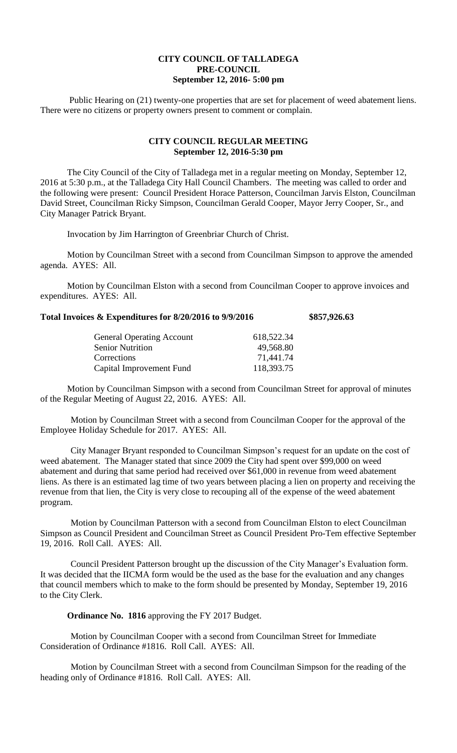## **CITY COUNCIL OF TALLADEGA PRE-COUNCIL September 12, 2016- 5:00 pm**

Public Hearing on (21) twenty-one properties that are set for placement of weed abatement liens. There were no citizens or property owners present to comment or complain.

## **CITY COUNCIL REGULAR MEETING September 12, 2016-5:30 pm**

The City Council of the City of Talladega met in a regular meeting on Monday, September 12, 2016 at 5:30 p.m., at the Talladega City Hall Council Chambers. The meeting was called to order and the following were present: Council President Horace Patterson, Councilman Jarvis Elston, Councilman David Street, Councilman Ricky Simpson, Councilman Gerald Cooper, Mayor Jerry Cooper, Sr., and City Manager Patrick Bryant.

Invocation by Jim Harrington of Greenbriar Church of Christ.

Motion by Councilman Street with a second from Councilman Simpson to approve the amended agenda. AYES: All.

Motion by Councilman Elston with a second from Councilman Cooper to approve invoices and expenditures. AYES: All.

## **Total Invoices & Expenditures for 8/20/2016 to 9/9/2016 \$857,926.63**

| <b>General Operating Account</b> | 618,522.34 |
|----------------------------------|------------|
| <b>Senior Nutrition</b>          | 49,568.80  |
| Corrections                      | 71,441.74  |
| Capital Improvement Fund         | 118,393.75 |

Motion by Councilman Simpson with a second from Councilman Street for approval of minutes of the Regular Meeting of August 22, 2016. AYES: All.

Motion by Councilman Street with a second from Councilman Cooper for the approval of the Employee Holiday Schedule for 2017. AYES: All.

City Manager Bryant responded to Councilman Simpson's request for an update on the cost of weed abatement. The Manager stated that since 2009 the City had spent over \$99,000 on weed abatement and during that same period had received over \$61,000 in revenue from weed abatement liens. As there is an estimated lag time of two years between placing a lien on property and receiving the revenue from that lien, the City is very close to recouping all of the expense of the weed abatement program.

Motion by Councilman Patterson with a second from Councilman Elston to elect Councilman Simpson as Council President and Councilman Street as Council President Pro-Tem effective September 19, 2016. Roll Call. AYES: All.

Council President Patterson brought up the discussion of the City Manager's Evaluation form. It was decided that the IICMA form would be the used as the base for the evaluation and any changes that council members which to make to the form should be presented by Monday, September 19, 2016 to the City Clerk.

**Ordinance No. 1816** approving the FY 2017 Budget.

Motion by Councilman Cooper with a second from Councilman Street for Immediate Consideration of Ordinance #1816. Roll Call. AYES: All.

Motion by Councilman Street with a second from Councilman Simpson for the reading of the heading only of Ordinance #1816. Roll Call. AYES: All.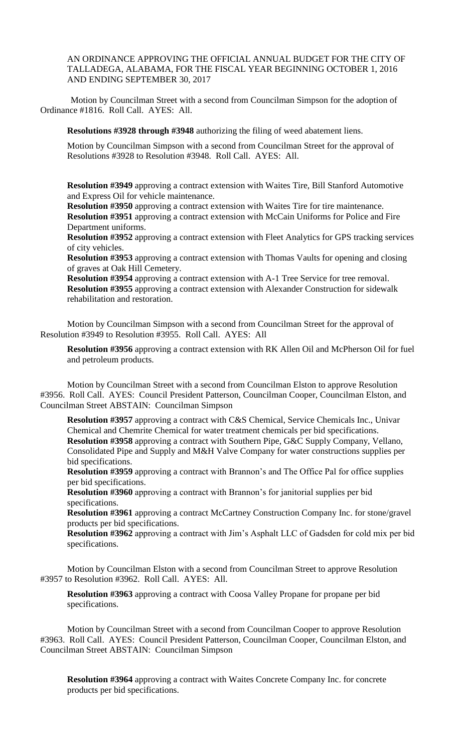AN ORDINANCE APPROVING THE OFFICIAL ANNUAL BUDGET FOR THE CITY OF TALLADEGA, ALABAMA, FOR THE FISCAL YEAR BEGINNING OCTOBER 1, 2016 AND ENDING SEPTEMBER 30, 2017

Motion by Councilman Street with a second from Councilman Simpson for the adoption of Ordinance #1816. Roll Call. AYES: All.

**Resolutions #3928 through #3948** authorizing the filing of weed abatement liens.

Motion by Councilman Simpson with a second from Councilman Street for the approval of Resolutions #3928 to Resolution #3948. Roll Call. AYES: All.

**Resolution #3949** approving a contract extension with Waites Tire, Bill Stanford Automotive and Express Oil for vehicle maintenance.

**Resolution #3950** approving a contract extension with Waites Tire for tire maintenance. **Resolution #3951** approving a contract extension with McCain Uniforms for Police and Fire Department uniforms.

**Resolution #3952** approving a contract extension with Fleet Analytics for GPS tracking services of city vehicles.

**Resolution #3953** approving a contract extension with Thomas Vaults for opening and closing of graves at Oak Hill Cemetery.

**Resolution #3954** approving a contract extension with A-1 Tree Service for tree removal. **Resolution #3955** approving a contract extension with Alexander Construction for sidewalk rehabilitation and restoration.

Motion by Councilman Simpson with a second from Councilman Street for the approval of Resolution #3949 to Resolution #3955. Roll Call. AYES: All

**Resolution #3956** approving a contract extension with RK Allen Oil and McPherson Oil for fuel and petroleum products.

Motion by Councilman Street with a second from Councilman Elston to approve Resolution #3956. Roll Call. AYES: Council President Patterson, Councilman Cooper, Councilman Elston, and Councilman Street ABSTAIN: Councilman Simpson

**Resolution #3957** approving a contract with C&S Chemical, Service Chemicals Inc., Univar Chemical and Chemrite Chemical for water treatment chemicals per bid specifications. **Resolution #3958** approving a contract with Southern Pipe, G&C Supply Company, Vellano, Consolidated Pipe and Supply and M&H Valve Company for water constructions supplies per bid specifications.

**Resolution #3959** approving a contract with Brannon's and The Office Pal for office supplies per bid specifications.

**Resolution #3960** approving a contract with Brannon's for janitorial supplies per bid specifications.

**Resolution #3961** approving a contract McCartney Construction Company Inc. for stone/gravel products per bid specifications.

**Resolution #3962** approving a contract with Jim's Asphalt LLC of Gadsden for cold mix per bid specifications.

Motion by Councilman Elston with a second from Councilman Street to approve Resolution #3957 to Resolution #3962. Roll Call. AYES: All.

**Resolution #3963** approving a contract with Coosa Valley Propane for propane per bid specifications.

Motion by Councilman Street with a second from Councilman Cooper to approve Resolution #3963. Roll Call. AYES: Council President Patterson, Councilman Cooper, Councilman Elston, and Councilman Street ABSTAIN: Councilman Simpson

**Resolution #3964** approving a contract with Waites Concrete Company Inc. for concrete products per bid specifications.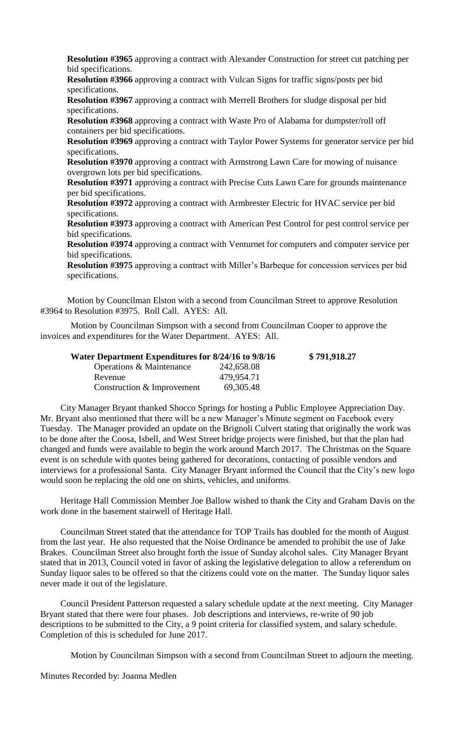**Resolution #3965** approving a contract with Alexander Construction for street cut patching per bid specifications.

**Resolution #3966** approving a contract with Vulcan Signs for traffic signs/posts per bid specifications.

**Resolution #3967** approving a contract with Merrell Brothers for sludge disposal per bid specifications.

**Resolution #3968** approving a contract with Waste Pro of Alabama for dumpster/roll off containers per bid specifications.

**Resolution #3969** approving a contract with Taylor Power Systems for generator service per bid specifications.

**Resolution #3970** approving a contract with Armstrong Lawn Care for mowing of nuisance overgrown lots per bid specifications.

**Resolution #3971** approving a contract with Precise Cuts Lawn Care for grounds maintenance per bid specifications.

**Resolution #3972** approving a contract with Armbrester Electric for HVAC service per bid specifications.

**Resolution #3973** approving a contract with American Pest Control for pest control service per bid specifications.

**Resolution #3974** approving a contract with Venturnet for computers and computer service per bid specifications.

**Resolution #3975** approving a contract with Miller's Barbeque for concession services per bid specifications.

Motion by Councilman Elston with a second from Councilman Street to approve Resolution #3964 to Resolution #3975. Roll Call. AYES: All.

Motion by Councilman Simpson with a second from Councilman Cooper to approve the invoices and expenditures for the Water Department. AYES: All.

| Water Department Expenditures for 8/24/16 to 9/8/16 |             | \$791,918.27 |
|-----------------------------------------------------|-------------|--------------|
| Operations & Maintenance                            | 242,658.08  |              |
| Revenue                                             | 479.954.71  |              |
| Construction & Improvement                          | 69, 305. 48 |              |

City Manager Bryant thanked Shocco Springs for hosting a Public Employee Appreciation Day. Mr. Bryant also mentioned that there will be a new Manager's Minute segment on Facebook every Tuesday. The Manager provided an update on the Brignoli Culvert stating that originally the work was to be done after the Coosa, Isbell, and West Street bridge projects were finished, but that the plan had changed and funds were available to begin the work around March 2017. The Christmas on the Square event is on schedule with quotes being gathered for decorations, contacting of possible vendors and interviews for a professional Santa. City Manager Bryant informed the Council that the City's new logo would soon be replacing the old one on shirts, vehicles, and uniforms.

Heritage Hall Commission Member Joe Ballow wished to thank the City and Graham Davis on the work done in the basement stairwell of Heritage Hall.

Councilman Street stated that the attendance for TOP Trails has doubled for the month of August from the last year. He also requested that the Noise Ordinance be amended to prohibit the use of Jake Brakes. Councilman Street also brought forth the issue of Sunday alcohol sales. City Manager Bryant stated that in 2013, Council voted in favor of asking the legislative delegation to allow a referendum on Sunday liquor sales to be offered so that the citizens could vote on the matter. The Sunday liquor sales never made it out of the legislature.

Council President Patterson requested a salary schedule update at the next meeting. City Manager Bryant stated that there were four phases. Job descriptions and interviews, re-write of 90 job descriptions to be submitted to the City, a 9 point criteria for classified system, and salary schedule. Completion of this is scheduled for June 2017.

Motion by Councilman Simpson with a second from Councilman Street to adjourn the meeting.

Minutes Recorded by: Joanna Medlen